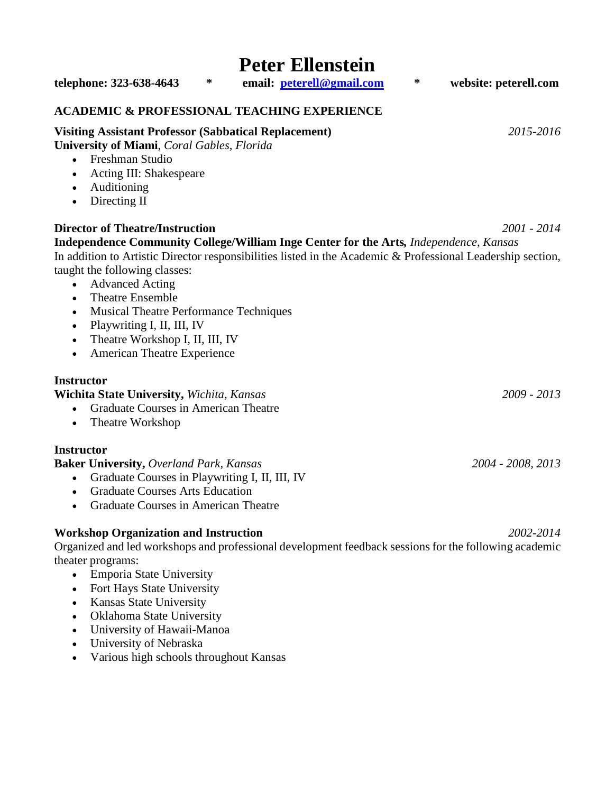# **Peter Ellenstein telephone: 323-638-4643 \* email: [peterell@gmail.com](mailto:peterell@gmail.com) \* website: peterell.com ACADEMIC & PROFESSIONAL TEACHING EXPERIENCE Visiting Assistant Professor (Sabbatical Replacement)** *2015-2016* **University of Miami**, *Coral Gables, Florida* • Freshman Studio • Acting III: Shakespeare • Auditioning • Directing II **Director of Theatre/Instruction** *2001 - 2014* **Independence Community College/William Inge Center for the Arts***, Independence, Kansas*  In addition to Artistic Director responsibilities listed in the Academic & Professional Leadership section, taught the following classes: • Advanced Acting • Theatre Ensemble • Musical Theatre Performance Techniques • Playwriting I, II, III, IV • Theatre Workshop I, II, III, IV • American Theatre Experience **Instructor Wichita State University,** *Wichita, Kansas 2009 - 2013* • Graduate Courses in American Theatre Theatre Workshop **Instructor Baker University,** *Overland Park, Kansas 2004 - 2008, 2013* • Graduate Courses in Playwriting I, II, III, IV • Graduate Courses Arts Education • Graduate Courses in American Theatre **Workshop Organization and Instruction** *2002-2014*

Organized and led workshops and professional development feedback sessions for the following academic theater programs:

- Emporia State University
- Fort Hays State University
- Kansas State University
- Oklahoma State University
- University of Hawaii-Manoa
- University of Nebraska
- Various high schools throughout Kansas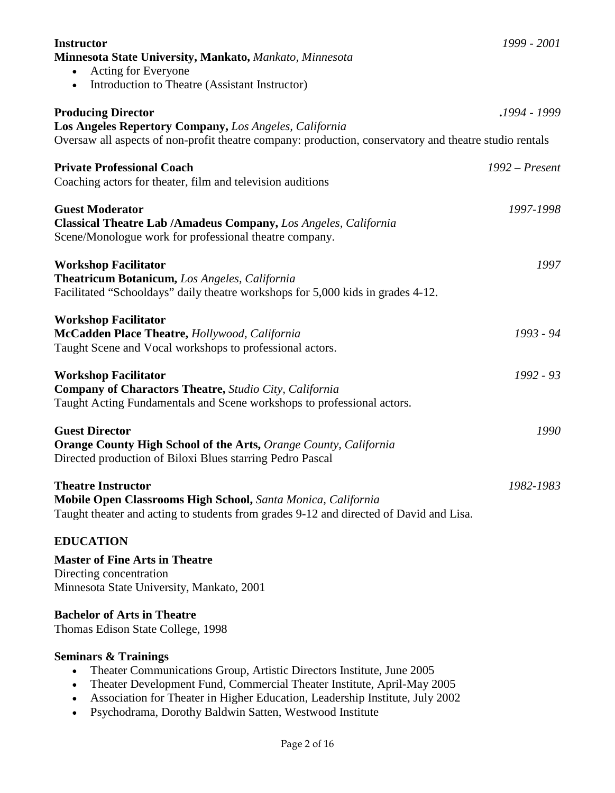| <b>Instructor</b>                                                                                      | 1999 - 2001      |
|--------------------------------------------------------------------------------------------------------|------------------|
| Minnesota State University, Mankato, Mankato, Minnesota                                                |                  |
| Acting for Everyone                                                                                    |                  |
| Introduction to Theatre (Assistant Instructor)                                                         |                  |
| <b>Producing Director</b>                                                                              | .1994 - 1999.    |
| Los Angeles Repertory Company, Los Angeles, California                                                 |                  |
| Oversaw all aspects of non-profit theatre company: production, conservatory and theatre studio rentals |                  |
| <b>Private Professional Coach</b>                                                                      | $1992$ – Present |
| Coaching actors for theater, film and television auditions                                             |                  |
| <b>Guest Moderator</b>                                                                                 | 1997-1998        |
| <b>Classical Theatre Lab /Amadeus Company, Los Angeles, California</b>                                 |                  |
| Scene/Monologue work for professional theatre company.                                                 |                  |
| <b>Workshop Facilitator</b>                                                                            | 1997             |
| <b>Theatricum Botanicum, Los Angeles, California</b>                                                   |                  |
| Facilitated "Schooldays" daily theatre workshops for 5,000 kids in grades 4-12.                        |                  |
| <b>Workshop Facilitator</b>                                                                            |                  |
| McCadden Place Theatre, Hollywood, California                                                          | 1993 - 94        |
| Taught Scene and Vocal workshops to professional actors.                                               |                  |
| <b>Workshop Facilitator</b>                                                                            | 1992 - 93        |
| <b>Company of Charactors Theatre, Studio City, California</b>                                          |                  |
| Taught Acting Fundamentals and Scene workshops to professional actors.                                 |                  |
| <b>Guest Director</b>                                                                                  | 1990             |
| <b>Orange County High School of the Arts, Orange County, California</b>                                |                  |
| Directed production of Biloxi Blues starring Pedro Pascal                                              |                  |
| <b>Theatre Instructor</b>                                                                              | 1982-1983        |
| Mobile Open Classrooms High School, Santa Monica, California                                           |                  |
| Taught theater and acting to students from grades 9-12 and directed of David and Lisa.                 |                  |
| <b>EDUCATION</b>                                                                                       |                  |
| <b>Master of Fine Arts in Theatre</b>                                                                  |                  |
| Directing concentration                                                                                |                  |
| Minnesota State University, Mankato, 2001                                                              |                  |
| <b>Bachelor of Arts in Theatre</b>                                                                     |                  |
| Thomas Edison State College, 1998                                                                      |                  |
| <b>Seminars &amp; Trainings</b>                                                                        |                  |

- Theater Communications Group, Artistic Directors Institute, June 2005
- Theater Development Fund, Commercial Theater Institute, April-May 2005
- Association for Theater in Higher Education, Leadership Institute, July 2002
- Psychodrama, Dorothy Baldwin Satten, Westwood Institute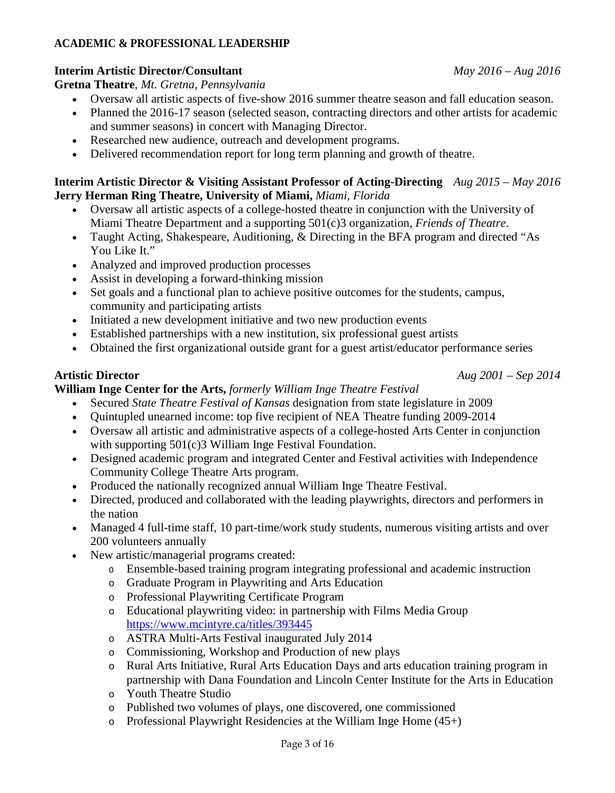# **ACADEMIC & PROFESSIONAL LEADERSHIP**

# **Interim Artistic Director/Consultant** *May 2016 – Aug 2016*

**Gretna Theatre**, *Mt. Gretna, Pennsylvania*

- Oversaw all artistic aspects of five-show 2016 summer theatre season and fall education season.
- Planned the 2016-17 season (selected season, contracting directors and other artists for academic and summer seasons) in concert with Managing Director.
- Researched new audience, outreach and development programs.
- Delivered recommendation report for long term planning and growth of theatre.

# **Interim Artistic Director & Visiting Assistant Professor of Acting-Directing** *Aug 2015 – May 2016*  **Jerry Herman Ring Theatre, University of Miami,** *Miami, Florida*

- Oversaw all artistic aspects of a college-hosted theatre in conjunction with the University of Miami Theatre Department and a supporting 501(c)3 organization, *Friends of Theatre*.
- Taught Acting, Shakespeare, Auditioning, & Directing in the BFA program and directed "As You Like It."
- Analyzed and improved production processes
- Assist in developing a forward-thinking mission
- Set goals and a functional plan to achieve positive outcomes for the students, campus, community and participating artists
- Initiated a new development initiative and two new production events
- Established partnerships with a new institution, six professional guest artists
- Obtained the first organizational outside grant for a guest artist/educator performance series

**William Inge Center for the Arts,** *formerly William Inge Theatre Festival*

- Secured *State Theatre Festival of Kansas* designation from state legislature in 2009
- Quintupled unearned income: top five recipient of NEA Theatre funding 2009-2014
- Oversaw all artistic and administrative aspects of a college-hosted Arts Center in conjunction with supporting 501(c)3 William Inge Festival Foundation.
- Designed academic program and integrated Center and Festival activities with Independence Community College Theatre Arts program.
- Produced the nationally recognized annual William Inge Theatre Festival.
- Directed, produced and collaborated with the leading playwrights, directors and performers in the nation
- Managed 4 full-time staff, 10 part-time/work study students, numerous visiting artists and over 200 volunteers annually
- New artistic/managerial programs created:
	- o Ensemble-based training program integrating professional and academic instruction
	- o Graduate Program in Playwriting and Arts Education
	- o Professional Playwriting Certificate Program
	- o Educational playwriting video: in partnership with Films Media Group <https://www.mcintyre.ca/titles/393445>
	- o ASTRA Multi-Arts Festival inaugurated July 2014
	- o Commissioning, Workshop and Production of new plays
	- o Rural Arts Initiative, Rural Arts Education Days and arts education training program in partnership with Dana Foundation and Lincoln Center Institute for the Arts in Education
	- o Youth Theatre Studio
	- o Published two volumes of plays, one discovered, one commissioned
	- $\circ$  Professional Playwright Residencies at the William Inge Home (45+)

#### **Artistic Director** *Aug 2001 – Sep 2014*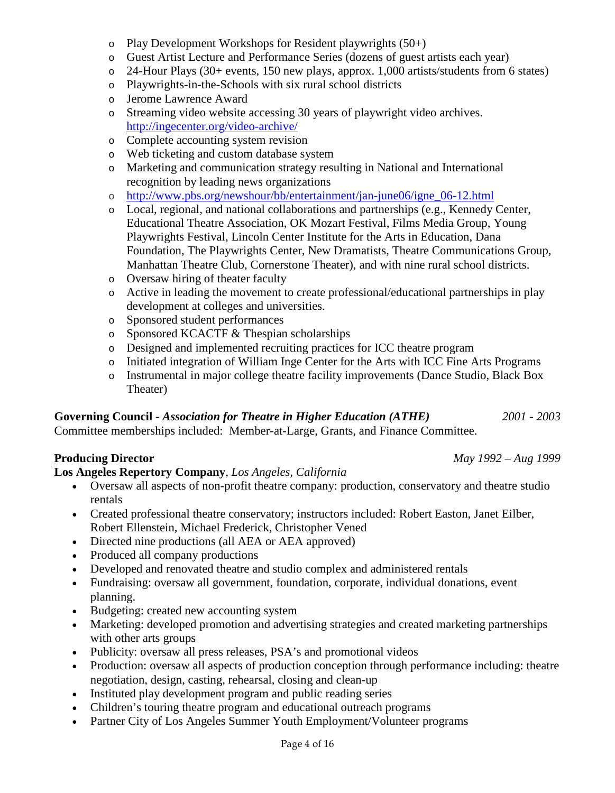Page 4 of 16

- $\circ$  Play Development Workshops for Resident playwrights (50+)
- o Guest Artist Lecture and Performance Series (dozens of guest artists each year)
- o 24-Hour Plays (30+ events, 150 new plays, approx. 1,000 artists/students from 6 states)
- o Playwrights-in-the-Schools with six rural school districts
- o Jerome Lawrence Award
- o Streaming video website accessing 30 years of playwright video archives. <http://ingecenter.org/video-archive/>
- o Complete accounting system revision
- o Web ticketing and custom database system
- o Marketing and communication strategy resulting in National and International recognition by leading news organizations
- o [http://www.pbs.org/newshour/bb/entertainment/jan-june06/igne\\_06-12.html](http://www.pbs.org/newshour/bb/entertainment/jan-june06/igne_06-12.html)
- o Local, regional, and national collaborations and partnerships (e.g., Kennedy Center, Educational Theatre Association, OK Mozart Festival, Films Media Group, Young Playwrights Festival, Lincoln Center Institute for the Arts in Education, Dana Foundation, The Playwrights Center, New Dramatists, Theatre Communications Group, Manhattan Theatre Club, Cornerstone Theater), and with nine rural school districts.
- o Oversaw hiring of theater faculty
- o Active in leading the movement to create professional/educational partnerships in play development at colleges and universities.
- o Sponsored student performances
- o Sponsored KCACTF & Thespian scholarships
- o Designed and implemented recruiting practices for ICC theatre program
- o Initiated integration of William Inge Center for the Arts with ICC Fine Arts Programs
- o Instrumental in major college theatre facility improvements (Dance Studio, Black Box Theater)

#### **Governing Council -** *Association for Theatre in Higher Education (ATHE) 2001 - 2003*

Committee memberships included: Member-at-Large, Grants, and Finance Committee.

# **Producing Director** *May 1992 – Aug 1999*

# **Los Angeles Repertory Company***, Los Angeles, California*

- Oversaw all aspects of non-profit theatre company: production, conservatory and theatre studio rentals
- Created professional theatre conservatory; instructors included: Robert Easton, Janet Eilber, Robert Ellenstein, Michael Frederick, Christopher Vened
- Directed nine productions (all AEA or AEA approved)
- Produced all company productions
- Developed and renovated theatre and studio complex and administered rentals
- Fundraising: oversaw all government, foundation, corporate, individual donations, event planning.
- Budgeting: created new accounting system
- Marketing: developed promotion and advertising strategies and created marketing partnerships with other arts groups
- Publicity: oversaw all press releases, PSA's and promotional videos
- Production: oversaw all aspects of production conception through performance including: theatre negotiation, design, casting, rehearsal, closing and clean-up
- Instituted play development program and public reading series
- Children's touring theatre program and educational outreach programs
- Partner City of Los Angeles Summer Youth Employment/Volunteer programs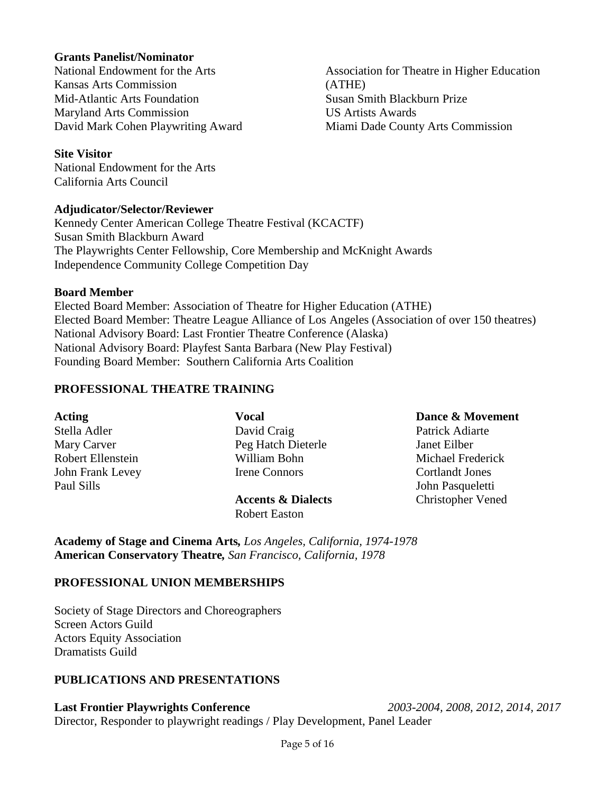#### **Grants Panelist/Nominator**

National Endowment for the Arts Kansas Arts Commission Mid-Atlantic Arts Foundation Maryland Arts Commission David Mark Cohen Playwriting Award

Association for Theatre in Higher Education (ATHE) Susan Smith Blackburn Prize US Artists Awards Miami Dade County Arts Commission

#### **Site Visitor**

National Endowment for the Arts California Arts Council

#### **Adjudicator/Selector/Reviewer**

Kennedy Center American College Theatre Festival (KCACTF) Susan Smith Blackburn Award The Playwrights Center Fellowship, Core Membership and McKnight Awards Independence Community College Competition Day

#### **Board Member**

Elected Board Member: Association of Theatre for Higher Education (ATHE) Elected Board Member: Theatre League Alliance of Los Angeles (Association of over 150 theatres) National Advisory Board: Last Frontier Theatre Conference (Alaska) National Advisory Board: Playfest Santa Barbara (New Play Festival) Founding Board Member: Southern California Arts Coalition

#### **PROFESSIONAL THEATRE TRAINING**

| <b>Acting</b>     | <b>Vocal</b>                  | Dance & Movement         |
|-------------------|-------------------------------|--------------------------|
| Stella Adler      | David Craig                   | Patrick Adiarte          |
| Mary Carver       | Peg Hatch Dieterle            | Janet Eilber             |
| Robert Ellenstein | William Bohn                  | Michael Frederick        |
| John Frank Levey  | Irene Connors                 | <b>Cortlandt Jones</b>   |
| Paul Sills        |                               | John Pasqueletti         |
|                   | <b>Accents &amp; Dialects</b> | <b>Christopher Vened</b> |

Robert Easton

**Academy of Stage and Cinema Arts***, Los Angeles, California, 1974-1978*  **American Conservatory Theatre***, San Francisco, California, 1978*

#### **PROFESSIONAL UNION MEMBERSHIPS**

Society of Stage Directors and Choreographers Screen Actors Guild Actors Equity Association Dramatists Guild

# **PUBLICATIONS AND PRESENTATIONS**

#### **Last Frontier Playwrights Conference** *2003-2004, 2008, 2012, 2014, 2017*

Director, Responder to playwright readings / Play Development, Panel Leader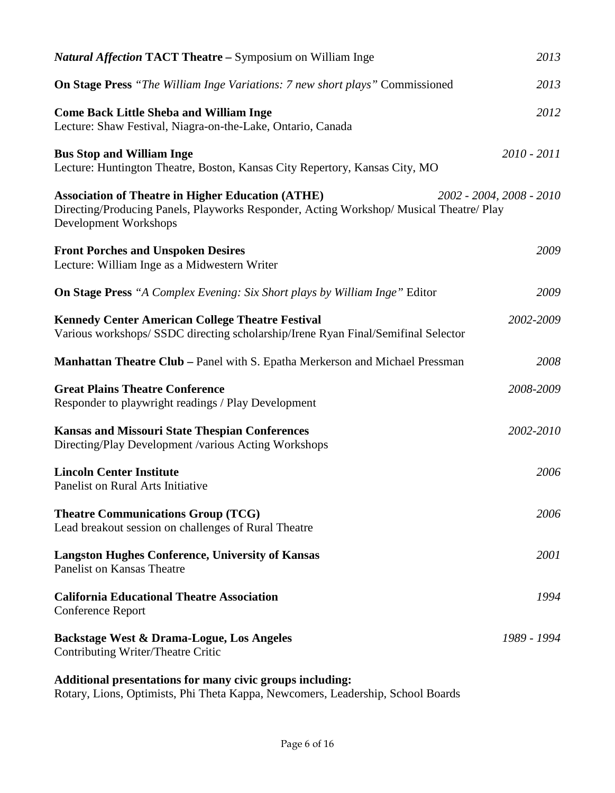| <b>Natural Affection TACT Theatre – Symposium on William Inger-</b>                                                                                                          | 2013                     |
|------------------------------------------------------------------------------------------------------------------------------------------------------------------------------|--------------------------|
| <b>On Stage Press</b> "The William Inge Variations: 7 new short plays" Commissioned                                                                                          | 2013                     |
| <b>Come Back Little Sheba and William Inge</b><br>Lecture: Shaw Festival, Niagra-on-the-Lake, Ontario, Canada                                                                | 2012                     |
| <b>Bus Stop and William Inge</b><br>Lecture: Huntington Theatre, Boston, Kansas City Repertory, Kansas City, MO                                                              | $2010 - 2011$            |
| <b>Association of Theatre in Higher Education (ATHE)</b><br>Directing/Producing Panels, Playworks Responder, Acting Workshop/ Musical Theatre/ Play<br>Development Workshops | 2002 - 2004, 2008 - 2010 |
| <b>Front Porches and Unspoken Desires</b><br>Lecture: William Inge as a Midwestern Writer                                                                                    | 2009                     |
| <b>On Stage Press</b> "A Complex Evening: Six Short plays by William Inge" Editor                                                                                            | 2009                     |
| <b>Kennedy Center American College Theatre Festival</b><br>Various workshops/SSDC directing scholarship/Irene Ryan Final/Semifinal Selector                                  | 2002-2009                |
| <b>Manhattan Theatre Club – Panel with S. Epatha Merkerson and Michael Pressman</b>                                                                                          | 2008                     |
| <b>Great Plains Theatre Conference</b><br>Responder to playwright readings / Play Development                                                                                | 2008-2009                |
| <b>Kansas and Missouri State Thespian Conferences</b><br>Directing/Play Development /various Acting Workshops                                                                | 2002-2010                |
| <b>Lincoln Center Institute</b><br>Panelist on Rural Arts Initiative                                                                                                         | 2006                     |
| <b>Theatre Communications Group (TCG)</b><br>Lead breakout session on challenges of Rural Theatre                                                                            | 2006                     |
| <b>Langston Hughes Conference, University of Kansas</b><br><b>Panelist on Kansas Theatre</b>                                                                                 | 2001                     |
| <b>California Educational Theatre Association</b><br><b>Conference Report</b>                                                                                                | 1994                     |
| Backstage West & Drama-Logue, Los Angeles<br>Contributing Writer/Theatre Critic                                                                                              | 1989 - 1994              |
| Additional presentations for many civic groups including:                                                                                                                    |                          |

Rotary, Lions, Optimists, Phi Theta Kappa, Newcomers, Leadership, School Boards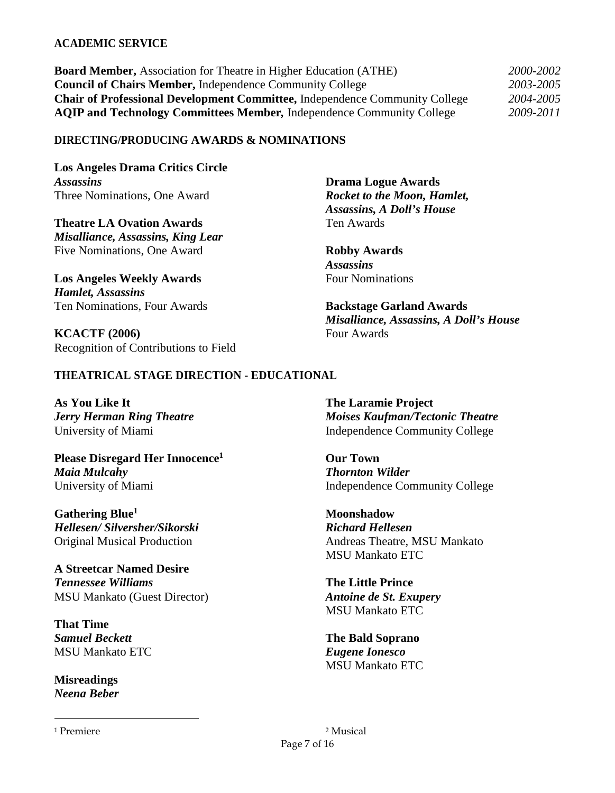#### **ACADEMIC SERVICE**

| <b>Board Member, Association for Theatre in Higher Education (ATHE)</b>            | 2000-2002 |
|------------------------------------------------------------------------------------|-----------|
| <b>Council of Chairs Member, Independence Community College</b>                    | 2003-2005 |
| <b>Chair of Professional Development Committee, Independence Community College</b> | 2004-2005 |
| <b>AQIP and Technology Committees Member, Independence Community College</b>       | 2009-2011 |

#### **DIRECTING/PRODUCING AWARDS & NOMINATIONS**

**Los Angeles Drama Critics Circle**  *Assassins* Three Nominations, One Award

**Theatre LA Ovation Awards**  *Misalliance, Assassins, King Lear*  Five Nominations, One Award

**Los Angeles Weekly Awards**  *Hamlet, Assassins*  Ten Nominations, Four Awards

**KCACTF (2006)**  Recognition of Contributions to Field

**Drama Logue Awards**  *Rocket to the Moon, Hamlet, Assassins, A Doll's House*  Ten Awards

**Robby Awards**  *Assassins*  Four Nominations

**Backstage Garland Awards**  *Misalliance, Assassins, A Doll's House*  Four Awards

#### **THEATRICAL STAGE DIRECTION - EDUCATIONAL**

**As You Like It**  *Jerry Herman Ring Theatre*  University of Miami

**Please Disregard Her Innocence<sup>1</sup>** *Maia Mulcahy*  University of Miami

**Gathering Blue<sup>1</sup>** *Hellesen/ Silversher/Sikorski*  Original Musical Production

**A Streetcar Named Desire**  *Tennessee Williams*  MSU Mankato (Guest Director)

**That Time**  *Samuel Beckett*  MSU Mankato ETC

**Misreadings**  *Neena Beber* 

1 Premiere

 $\overline{a}$ 

**The Laramie Project**  *Moises Kaufman/Tectonic Theatre*  Independence Community College

**Our Town**  *Thornton Wilder*  Independence Community College

**Moonshadow**  *Richard Hellesen*  Andreas Theatre, MSU Mankato MSU Mankato ETC

**The Little Prince**  *Antoine de St. Exupery*  MSU Mankato ETC

**The Bald Soprano**  *Eugene Ionesco*  MSU Mankato ETC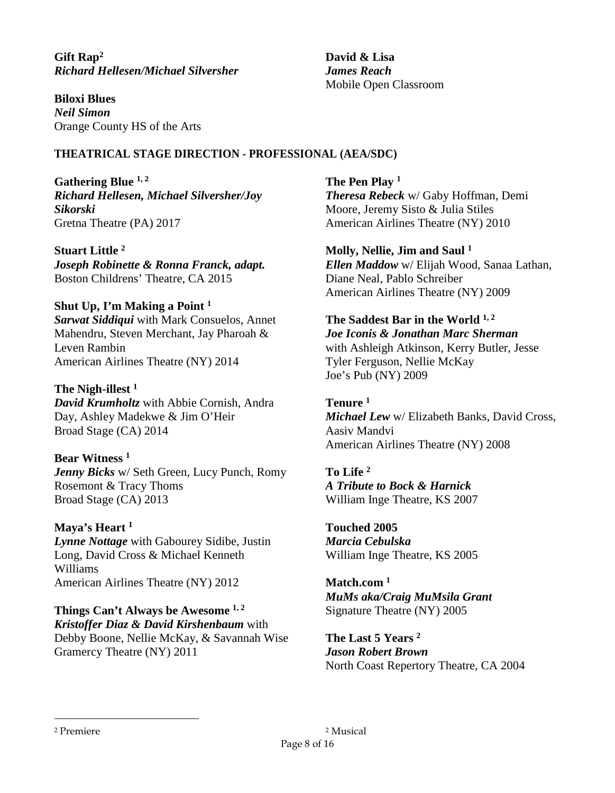**Gift Rap<sup>2</sup>** *Richard Hellesen/Michael Silversher* 

**Biloxi Blues**  *Neil Simon*  Orange County HS of the Arts

## **THEATRICAL STAGE DIRECTION - PROFESSIONAL (AEA/SDC)**

**Gathering Blue 1, 2** *Richard Hellesen, Michael Silversher/Joy Sikorski*  Gretna Theatre (PA) 2017

**Stuart Little <sup>2</sup>** *Joseph Robinette & Ronna Franck, adapt.*  Boston Childrens' Theatre, CA 2015

# **Shut Up, I'm Making a Point <sup>1</sup>**

*Sarwat Siddiqui* with Mark Consuelos, Annet Mahendru, Steven Merchant, Jay Pharoah & Leven Rambin American Airlines Theatre (NY) 2014

**The Nigh-illest <sup>1</sup>** *David Krumholtz* with Abbie Cornish, Andra Day, Ashley Madekwe & Jim O'Heir Broad Stage (CA) 2014

# **Bear Witness <sup>1</sup>**

*Jenny Bicks* w/ Seth Green, Lucy Punch, Romy Rosemont & Tracy Thoms Broad Stage (CA) 2013

**Maya's Heart <sup>1</sup>**

*Lynne Nottage* with Gabourey Sidibe, Justin Long, David Cross & Michael Kenneth Williams American Airlines Theatre (NY) 2012

**Things Can't Always be Awesome 1, 2** *Kristoffer Diaz & David Kirshenbaum* with Debby Boone, Nellie McKay, & Savannah Wise Gramercy Theatre (NY) 2011

**David & Lisa**  *James Reach*  Mobile Open Classroom

**The Pen Play <sup>1</sup>** *Theresa Rebeck* w/ Gaby Hoffman, Demi Moore, Jeremy Sisto & Julia Stiles American Airlines Theatre (NY) 2010

**Molly, Nellie, Jim and Saul <sup>1</sup>**

*Ellen Maddow* w/ Elijah Wood, Sanaa Lathan, Diane Neal, Pablo Schreiber American Airlines Theatre (NY) 2009

# **The Saddest Bar in the World 1, 2**

*Joe Iconis & Jonathan Marc Sherman* with Ashleigh Atkinson, Kerry Butler, Jesse Tyler Ferguson, Nellie McKay Joe's Pub (NY) 2009

**Tenure <sup>1</sup>** *Michael Lew* w/ Elizabeth Banks, David Cross, Aasiv Mandvi American Airlines Theatre (NY) 2008

# **To Life <sup>2</sup>**

*A Tribute to Bock & Harnick*  William Inge Theatre, KS 2007

**Touched 2005** *Marcia Cebulska*  William Inge Theatre, KS 2005

**Match.com <sup>1</sup>** *MuMs aka/Craig MuMsila Grant*  Signature Theatre (NY) 2005

**The Last 5 Years <sup>2</sup>** *Jason Robert Brown*  North Coast Repertory Theatre, CA 2004

 $\overline{a}$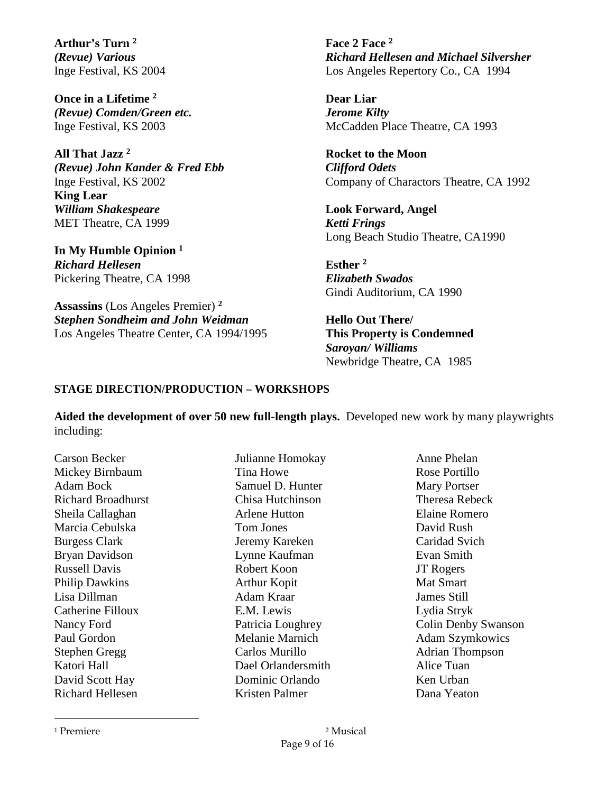**Arthur's Turn <sup>2</sup>** *(Revue) Various* Inge Festival, KS 2004

**Once in a Lifetime <sup>2</sup>** *(Revue) Comden/Green etc.*  Inge Festival, KS 2003

**All That Jazz <sup>2</sup>** *(Revue) John Kander & Fred Ebb*  Inge Festival, KS 2002 **King Lear**  *William Shakespeare*  MET Theatre, CA 1999

**In My Humble Opinion <sup>1</sup>** *Richard Hellesen* Pickering Theatre, CA 1998

**Assassins** (Los Angeles Premier) **<sup>2</sup>** *Stephen Sondheim and John Weidman*  Los Angeles Theatre Center, CA 1994/1995 **Face 2 Face <sup>2</sup>** *Richard Hellesen and Michael Silversher*  Los Angeles Repertory Co., CA 1994

**Dear Liar** *Jerome Kilty*  McCadden Place Theatre, CA 1993

**Rocket to the Moon**  *Clifford Odets*  Company of Charactors Theatre, CA 1992

**Look Forward, Angel**  *Ketti Frings*  Long Beach Studio Theatre, CA1990

**Esther <sup>2</sup>** *Elizabeth Swados*  Gindi Auditorium, CA 1990

**Hello Out There/<sup>3</sup> This Property is Condemned**  *Saroyan/ Williams* Newbridge Theatre, CA 1985

## **STAGE DIRECTION/PRODUCTION – WORKSHOPS**

**Aided the development of over 50 new full-length plays.** Developed new work by many playwrights including:

Carson Becker Mickey Birnbaum Adam Bock Richard Broadhurst Sheila Callaghan Marcia Cebulska Burgess Clark Bryan Davidson Russell Davis Philip Dawkins Lisa Dillman Catherine Filloux Nancy Ford Paul Gordon Stephen Gregg Katori Hall David Scott Hay Richard Hellesen

Julianne Homokay Tina Howe Samuel D. Hunter Chisa Hutchinson Arlene Hutton Tom Jones Jeremy Kareken Lynne Kaufman Robert Koon Arthur Kopit Adam Kraar E.M. Lewis Patricia Loughrey Melanie Marnich Carlos Murillo Dael Orlandersmith Dominic Orlando Kristen Palmer

Anne Phelan Rose Portillo Mary Portser Theresa Rebeck Elaine Romero David Rush Caridad Svich Evan Smith JT Rogers Mat Smart James Still Lydia Stryk Colin Denby Swanson Adam Szymkowics Adrian Thompson Alice Tuan Ken Urban Dana Yeaton

 $\overline{a}$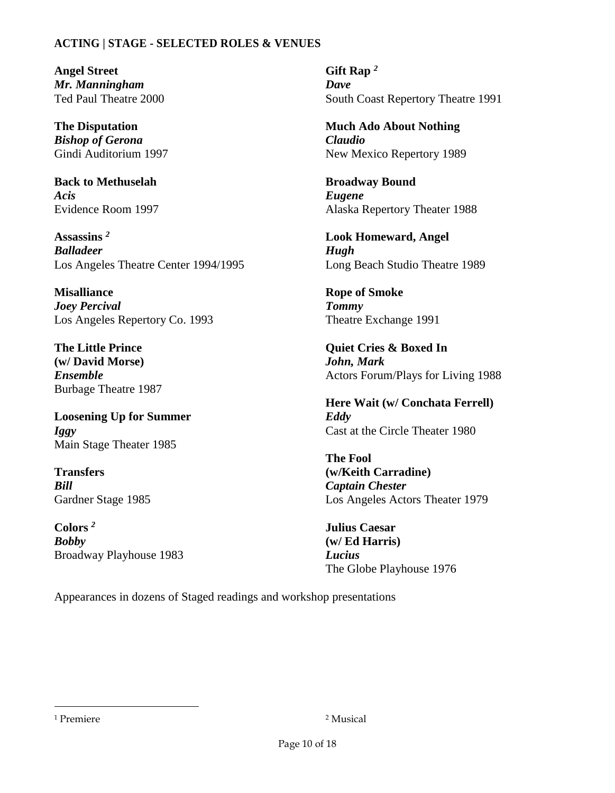## **ACTING | STAGE - SELECTED ROLES & VENUES**

**Angel Street**  *Mr. Manningham*  Ted Paul Theatre 2000

**The Disputation**  *Bishop of Gerona*  Gindi Auditorium 1997

**Back to Methuselah**  *Acis*  Evidence Room 1997

**Assassins** *<sup>2</sup> Balladeer* Los Angeles Theatre Center 1994/1995

**Misalliance**  *Joey Percival*  Los Angeles Repertory Co. 1993

**The Little Prince (w/ David Morse)**  *Ensemble*  Burbage Theatre 1987

**Loosening Up for Summer**  *Iggy*  Main Stage Theater 1985

**Transfers <sup>5</sup>** *Bill* Gardner Stage 1985

**Colors** *<sup>2</sup>*  *Bobby*  Broadway Playhouse 1983

**Gift Rap** *<sup>2</sup> Dave* South Coast Repertory Theatre 1991

**Much Ado About Nothing**  *Claudio* New Mexico Repertory 1989

**Broadway Bound <sup>4</sup>** *Eugene*  Alaska Repertory Theater 1988

**Look Homeward, Angel**  *Hugh*  Long Beach Studio Theatre 1989

**Rope of Smoke**  *Tommy*  Theatre Exchange 1991

**Quiet Cries & Boxed In** *John, Mark*  Actors Forum/Plays for Living 1988

**Here Wait (w/ Conchata Ferrell)**  *Eddy* Cast at the Circle Theater 1980

**The Fool (w/Keith Carradine)**  *Captain Chester*  Los Angeles Actors Theater 1979

**Julius Caesar (w/ Ed Harris)**  *Lucius*  The Globe Playhouse 1976

Appearances in dozens of Staged readings and workshop presentations

 $\overline{a}$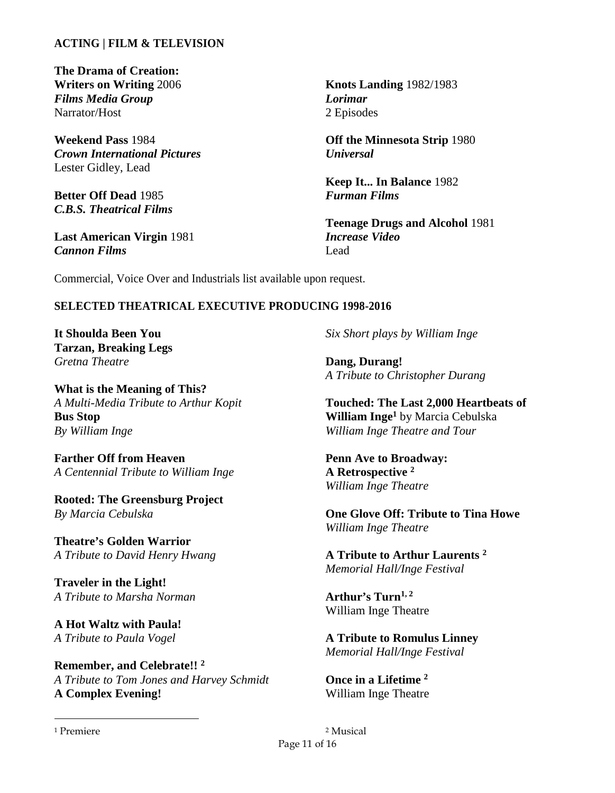## **ACTING | FILM & TELEVISION**

**The Drama of Creation: Writers on Writing** 2006 *Films Media Group*  Narrator/Host

**Weekend Pass** 1984 *Crown International Pictures*  Lester Gidley, Lead

**Better Off Dead** 1985 *C.B.S. Theatrical Films* 

**Last American Virgin** 1981 *Cannon Films* 

**Knots Landing** 1982/1983 *Lorimar*  2 Episodes

**Off the Minnesota Strip** 1980 *Universal*

**Keep It... In Balance** 1982 *Furman Films* 

**Teenage Drugs and Alcohol** 1981 *Increase Video*  Lead

Commercial, Voice Over and Industrials list available upon request.

#### **SELECTED THEATRICAL EXECUTIVE PRODUCING 1998-2016**

**It Shoulda Been You Tarzan, Breaking Legs**  *Gretna Theatre* 

**What is the Meaning of This?**  *A Multi-Media Tribute to Arthur Kopit*  **Bus Stop** *By William Inge* 

**Farther Off from Heaven**  *A Centennial Tribute to William Inge* 

**Rooted: The Greensburg Project** *By Marcia Cebulska* 

**Theatre's Golden Warrior**  *A Tribute to David Henry Hwang* 

**Traveler in the Light!**  *A Tribute to Marsha Norman* 

**A Hot Waltz with Paula!<sup>6</sup>** *A Tribute to Paula Vogel* 

**Remember, and Celebrate!! <sup>2</sup>** *A Tribute to Tom Jones and Harvey Schmidt*  **A Complex Evening!** 

*Six Short plays by William Inge* 

**Dang, Durang!**  *A Tribute to Christopher Durang* 

**Touched: The Last 2,000 Heartbeats of William Inge<sup>1</sup>** by Marcia Cebulska *William Inge Theatre and Tour* 

**Penn Ave to Broadway: A Retrospective <sup>2</sup>** *William Inge Theatre* 

**One Glove Off: Tribute to Tina Howe**  *William Inge Theatre* 

**A Tribute to Arthur Laurents <sup>2</sup>** *Memorial Hall/Inge Festival* 

**Arthur's Turn1, 2** William Inge Theatre

**A Tribute to Romulus Linney**  *Memorial Hall/Inge Festival* 

**Once in a Lifetime <sup>2</sup>** William Inge Theatre

1 Premiere

 $\overline{a}$ 

Page 11 of 16 2 Musical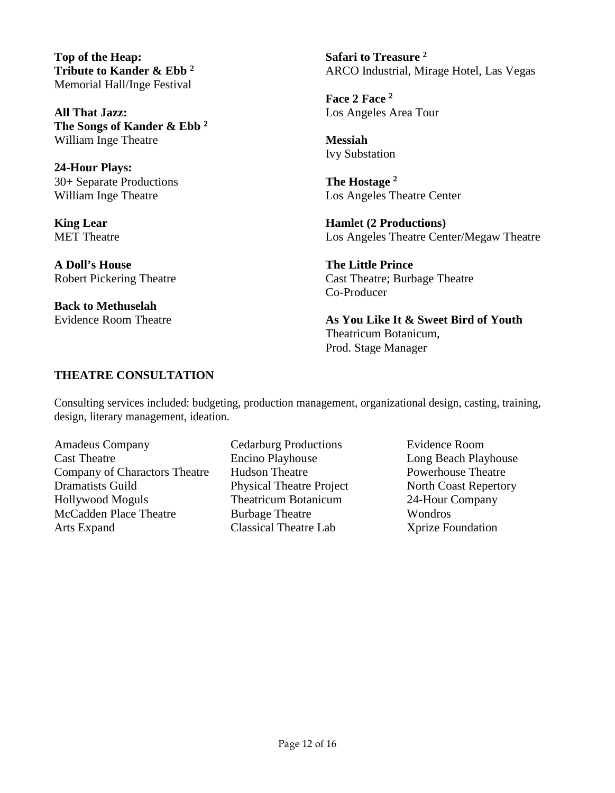**Top of the Heap: Tribute to Kander & Ebb <sup>2</sup>** Memorial Hall/Inge Festival

**All That Jazz: The Songs of Kander & Ebb <sup>2</sup>** William Inge Theatre

**24-Hour Plays:**  30+ Separate Productions William Inge Theatre

**King Lear** MET Theatre

**A Doll's House**  Robert Pickering Theatre

**Back to Methuselah**  Evidence Room Theatre **Safari to Treasure <sup>2</sup>** ARCO Industrial, Mirage Hotel, Las Vegas

**Face 2 Face <sup>2</sup>** Los Angeles Area Tour

**Messiah**  Ivy Substation

**The Hostage <sup>2</sup>** Los Angeles Theatre Center

**Hamlet (2 Productions)**  Los Angeles Theatre Center/Megaw Theatre

**The Little Prince**  Cast Theatre; Burbage Theatre Co-Producer

**As You Like It & Sweet Bird of Youth**  Theatricum Botanicum, Prod. Stage Manager

# **THEATRE CONSULTATION**

Consulting services included: budgeting, production management, organizational design, casting, training, design, literary management, ideation.

Amadeus Company Cast Theatre Company of Charactors Theatre Dramatists Guild Hollywood Moguls McCadden Place Theatre Arts Expand

Cedarburg Productions Encino Playhouse Hudson Theatre Physical Theatre Project Theatricum Botanicum Burbage Theatre Classical Theatre Lab

Evidence Room Long Beach Playhouse Powerhouse Theatre North Coast Repertory 24-Hour Company Wondros Xprize Foundation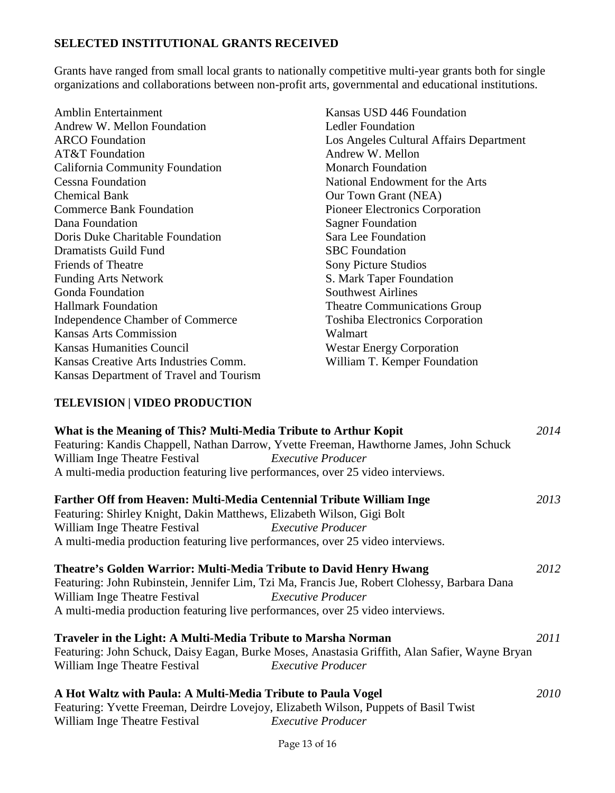# **SELECTED INSTITUTIONAL GRANTS RECEIVED**

Grants have ranged from small local grants to nationally competitive multi-year grants both for single organizations and collaborations between non-profit arts, governmental and educational institutions.

| Amblin Entertainment                    |
|-----------------------------------------|
| Andrew W. Mellon Foundation             |
| <b>ARCO</b> Foundation                  |
| <b>AT&amp;T</b> Foundation              |
| California Community Foundation         |
| Cessna Foundation                       |
| <b>Chemical Bank</b>                    |
| <b>Commerce Bank Foundation</b>         |
| Dana Foundation                         |
| Doris Duke Charitable Foundation        |
| Dramatists Guild Fund                   |
| <b>Friends of Theatre</b>               |
| <b>Funding Arts Network</b>             |
| <b>Gonda Foundation</b>                 |
| <b>Hallmark Foundation</b>              |
| Independence Chamber of Commerce        |
| <b>Kansas Arts Commission</b>           |
| <b>Kansas Humanities Council</b>        |
| Kansas Creative Arts Industries Comm.   |
| Kansas Department of Travel and Tourism |

Kansas USD 446 Foundation Ledler Foundation Los Angeles Cultural Affairs Department Andrew W. Mellon Monarch Foundation National Endowment for the Arts Our Town Grant (NEA) Pioneer Electronics Corporation Sagner Foundation Sara Lee Foundation SBC Foundation Sony Picture Studios S. Mark Taper Foundation Southwest Airlines Theatre Communications Group Toshiba Electronics Corporation Walmart Westar Energy Corporation William T. Kemper Foundation

# **TELEVISION | VIDEO PRODUCTION**

| What is the Meaning of This? Multi-Media Tribute to Arthur Kopit<br>2014                       |      |
|------------------------------------------------------------------------------------------------|------|
| Featuring: Kandis Chappell, Nathan Darrow, Yvette Freeman, Hawthorne James, John Schuck        |      |
| William Inge Theatre Festival Executive Producer                                               |      |
| A multi-media production featuring live performances, over 25 video interviews.                |      |
| Farther Off from Heaven: Multi-Media Centennial Tribute William Inge                           | 2013 |
| Featuring: Shirley Knight, Dakin Matthews, Elizabeth Wilson, Gigi Bolt                         |      |
| <b>Executive Producer</b><br>William Inge Theatre Festival                                     |      |
| A multi-media production featuring live performances, over 25 video interviews.                |      |
| Theatre's Golden Warrior: Multi-Media Tribute to David Henry Hwang                             | 2012 |
| Featuring: John Rubinstein, Jennifer Lim, Tzi Ma, Francis Jue, Robert Clohessy, Barbara Dana   |      |
| William Inge Theatre Festival Executive Producer                                               |      |
| A multi-media production featuring live performances, over 25 video interviews.                |      |
| Traveler in the Light: A Multi-Media Tribute to Marsha Norman                                  | 2011 |
| Featuring: John Schuck, Daisy Eagan, Burke Moses, Anastasia Griffith, Alan Safier, Wayne Bryan |      |
| William Inge Theatre Festival<br><b>Executive Producer</b>                                     |      |
| A Hot Waltz with Paula: A Multi-Media Tribute to Paula Vogel                                   | 2010 |
| Featuring: Yvette Freeman, Deirdre Lovejoy, Elizabeth Wilson, Puppets of Basil Twist           |      |
| William Inge Theatre Festival<br><b>Executive Producer</b>                                     |      |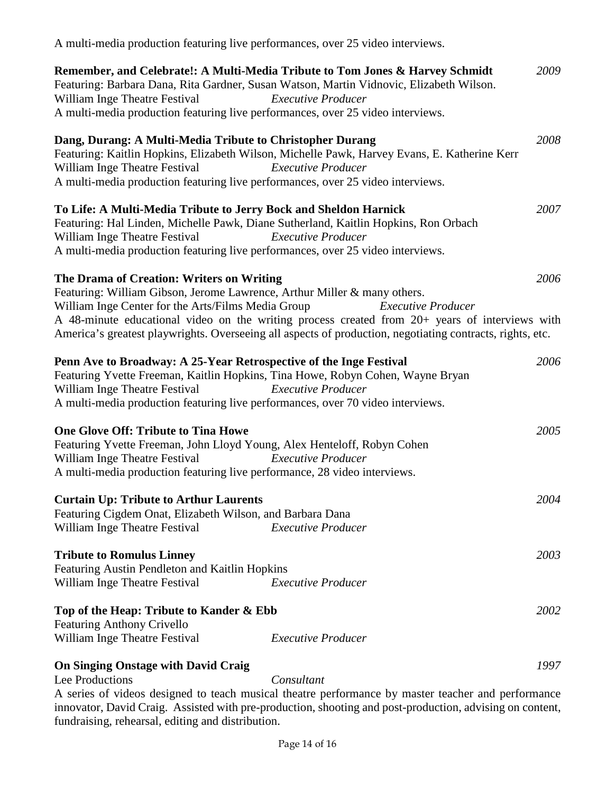| A multi-media production featuring live performances, over 25 video interviews.                                                                                                                                                                                             |                                                                                                                                                                                                                                          |      |
|-----------------------------------------------------------------------------------------------------------------------------------------------------------------------------------------------------------------------------------------------------------------------------|------------------------------------------------------------------------------------------------------------------------------------------------------------------------------------------------------------------------------------------|------|
| William Inge Theatre Festival<br>A multi-media production featuring live performances, over 25 video interviews.                                                                                                                                                            | Remember, and Celebrate!: A Multi-Media Tribute to Tom Jones & Harvey Schmidt<br>Featuring: Barbara Dana, Rita Gardner, Susan Watson, Martin Vidnovic, Elizabeth Wilson.<br><b>Executive Producer</b>                                    | 2009 |
| Dang, Durang: A Multi-Media Tribute to Christopher Durang<br>William Inge Theatre Festival<br>A multi-media production featuring live performances, over 25 video interviews.                                                                                               | Featuring: Kaitlin Hopkins, Elizabeth Wilson, Michelle Pawk, Harvey Evans, E. Katherine Kerr<br><b>Executive Producer</b>                                                                                                                | 2008 |
| To Life: A Multi-Media Tribute to Jerry Bock and Sheldon Harnick<br>Featuring: Hal Linden, Michelle Pawk, Diane Sutherland, Kaitlin Hopkins, Ron Orbach<br>William Inge Theatre Festival<br>A multi-media production featuring live performances, over 25 video interviews. | <b>Executive Producer</b>                                                                                                                                                                                                                | 2007 |
| The Drama of Creation: Writers on Writing<br>Featuring: William Gibson, Jerome Lawrence, Arthur Miller & many others.<br>William Inge Center for the Arts/Films Media Group                                                                                                 | <b>Executive Producer</b><br>A 48-minute educational video on the writing process created from 20+ years of interviews with<br>America's greatest playwrights. Overseeing all aspects of production, negotiating contracts, rights, etc. | 2006 |
| Penn Ave to Broadway: A 25-Year Retrospective of the Inge Festival<br>Featuring Yvette Freeman, Kaitlin Hopkins, Tina Howe, Robyn Cohen, Wayne Bryan<br>William Inge Theatre Festival<br>A multi-media production featuring live performances, over 70 video interviews.    | <b>Executive Producer</b>                                                                                                                                                                                                                | 2006 |
| <b>One Glove Off: Tribute to Tina Howe</b><br>Featuring Yvette Freeman, John Lloyd Young, Alex Henteloff, Robyn Cohen<br>William Inge Theatre Festival<br>A multi-media production featuring live performance, 28 video interviews.                                         | <b>Executive Producer</b>                                                                                                                                                                                                                | 2005 |
| <b>Curtain Up: Tribute to Arthur Laurents</b><br>Featuring Cigdem Onat, Elizabeth Wilson, and Barbara Dana<br>William Inge Theatre Festival                                                                                                                                 | <b>Executive Producer</b>                                                                                                                                                                                                                | 2004 |
| <b>Tribute to Romulus Linney</b><br>Featuring Austin Pendleton and Kaitlin Hopkins<br>William Inge Theatre Festival                                                                                                                                                         | <b>Executive Producer</b>                                                                                                                                                                                                                | 2003 |
| Top of the Heap: Tribute to Kander & Ebb<br><b>Featuring Anthony Crivello</b><br>William Inge Theatre Festival                                                                                                                                                              | <b>Executive Producer</b>                                                                                                                                                                                                                | 2002 |
| <b>On Singing Onstage with David Craig</b><br>Lee Productions                                                                                                                                                                                                               | Consultant<br>A series of videos designed to teach musical theatre performance by master teacher and performance<br>innovator, David Craig. Assisted with pre-production, shooting and post-production, advising on content,             | 1997 |

fundraising, rehearsal, editing and distribution.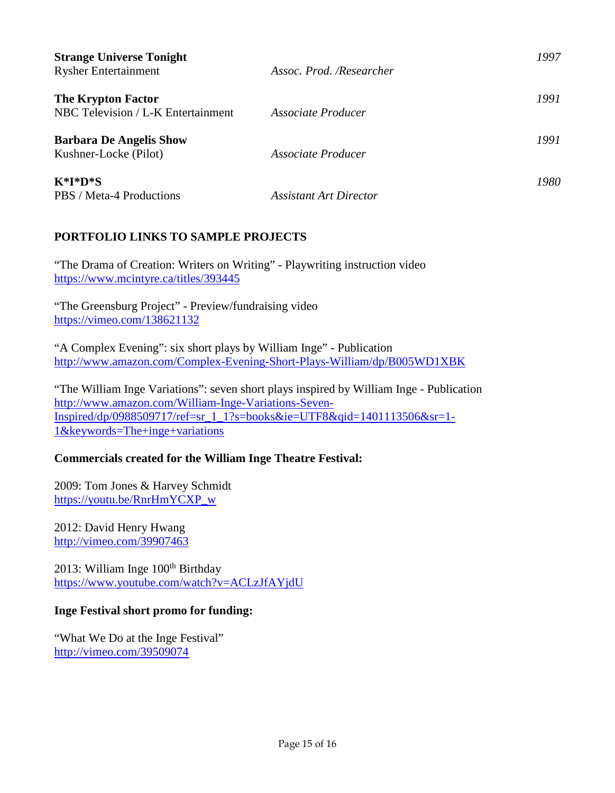| <b>Strange Universe Tonight</b><br><b>Rysher Entertainment</b>  | Assoc. Prod. /Researcher      | 1997 |
|-----------------------------------------------------------------|-------------------------------|------|
| <b>The Krypton Factor</b><br>NBC Television / L-K Entertainment | Associate Producer            | 1991 |
| <b>Barbara De Angelis Show</b><br>Kushner-Locke (Pilot)         | Associate Producer            | 1991 |
| $K^*I^*D^*S$<br>PBS / Meta-4 Productions                        | <b>Assistant Art Director</b> | 1980 |

# **PORTFOLIO LINKS TO SAMPLE PROJECTS**

"The Drama of Creation: Writers on Writing" - Playwriting instruction video <https://www.mcintyre.ca/titles/393445>

"The Greensburg Project" - Preview/fundraising video [https://vimeo.com/138621132](http://ingecenter.org/greensburg-project/)

"A Complex Evening": six short plays by William Inge" - Publication <http://www.amazon.com/Complex-Evening-Short-Plays-William/dp/B005WD1XBK>

"The William Inge Variations": seven short plays inspired by William Inge - Publication [http://www.amazon.com/William-Inge-Variations-Seven-](http://www.amazon.com/William-Inge-Variations-Seven-Inspired/dp/0988509717/ref=sr_1_1?s=books&ie=UTF8&qid=1401113506&sr=1-1&keywords=The+inge+variations)[Inspired/dp/0988509717/ref=sr\\_1\\_1?s=books&ie=UTF8&qid=1401113506&sr=1-](http://www.amazon.com/William-Inge-Variations-Seven-Inspired/dp/0988509717/ref=sr_1_1?s=books&ie=UTF8&qid=1401113506&sr=1-1&keywords=The+inge+variations) [1&keywords=The+inge+variations](http://www.amazon.com/William-Inge-Variations-Seven-Inspired/dp/0988509717/ref=sr_1_1?s=books&ie=UTF8&qid=1401113506&sr=1-1&keywords=The+inge+variations) 

# **Commercials created for the William Inge Theatre Festival:**

2009: Tom Jones & Harvey Schmidt https://youtu.be/RnrHmYCXP\_w

2012: David Henry Hwang <http://vimeo.com/39907463>

2013: William Inge  $100<sup>th</sup>$  Birthday <https://www.youtube.com/watch?v=ACLzJfAYjdU>

# **Inge Festival short promo for funding:**

"What We Do at the Inge Festival" <http://vimeo.com/39509074>